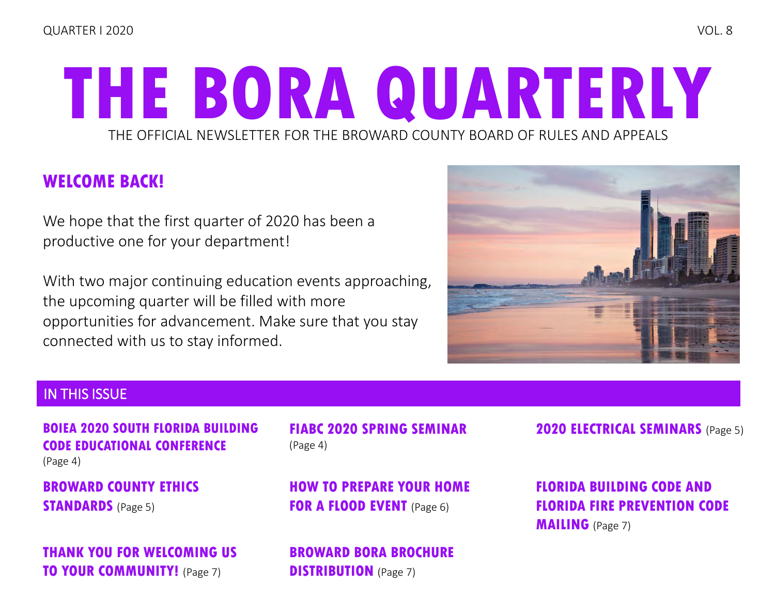# THE OFFICIAL NEWSLETTER FOR THE BROWARD COUNTY BOARD OF RULES AND APPEALS **THE BORA QUARTERLY**

## **WELCOME BACK!**

We hope that the first quarter of 2020 has been a productive one for your department!

With two major continuing education events approaching, the upcoming quarter will be filled with more opportunities for advancement. Make sure that you stay connected with us to stay informed.



### IN THIS ISSUE

**[BOIEA 2020 SOUTH FLORIDA BUILDING](#page-3-0)  CODE EDUCATIONAL CONFERENCE**  (Page 4)

**[BROWARD COUNTY ETHICS](#page-4-0)  STANDARDS** (Page 5)

**[THANK YOU FOR WELCOMING US](#page-6-0)  TO YOUR COMMUNITY!** (Page 7)

(Page 4)

**[HOW TO PREPARE YOUR HOME](#page-5-0)  FOR A FLOOD EVENT** (Page 6)

**[BROWARD BORA BROCHURE](#page-6-0)  DISTRIBUTION** (Page 7)

**[FIABC 2020 SPRING SEMINAR](#page-3-0) [2020 ELECTRICAL SEMINARS](#page-4-0)** (Page 5)

**FLORIDA BUILDING CODE AND [FLORIDA FIRE PREVENTION CODE](#page-6-0)  MAILING** (Page 7)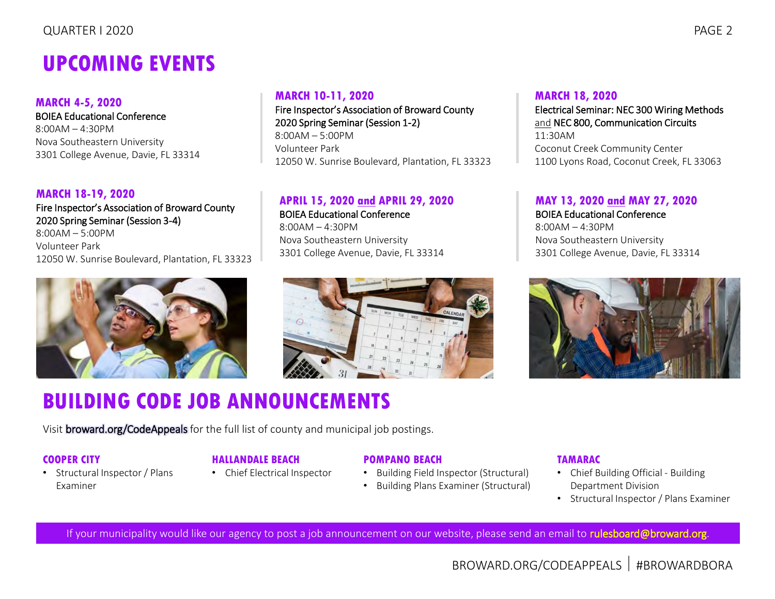## **UPCOMING EVENTS**

#### **MARCH 4-5, 2020**

BOIEA Educational Conference 8:00AM – 4:30PM Nova Southeastern University 3301 College Avenue, Davie, FL 33314

#### **MARCH 18-19, 2020**

Fire Inspector's Association of Broward County 2020 Spring Seminar (Session 3-4) 8:00AM – 5:00PM Volunteer Park 12050 W. Sunrise Boulevard, Plantation, FL 33323



#### **MARCH 10-11, 2020**

Fire Inspector's Association of Broward County 2020 Spring Seminar (Session 1-2) 8:00AM – 5:00PM Volunteer Park 12050 W. Sunrise Boulevard, Plantation, FL 33323

#### **APRIL 15, 2020 and APRIL 29, 2020**

BOIEA Educational Conference  $8:00AM - 4:30PM$ Nova Southeastern University 3301 College Avenue, Davie, FL 33314



#### **MARCH 18, 2020** Electrical Seminar: NEC 300 Wiring Methods

and NEC 800, Communication Circuits 11:30AM Coconut Creek Community Center 1100 Lyons Road, Coconut Creek, FL 33063

#### **MAY 13, 2020 and MAY 27, 2020**

BOIEA Educational Conference  $8:00AM - 4:30PM$ Nova Southeastern University 3301 College Avenue, Davie, FL 33314



## **BUILDING CODE JOB ANNOUNCEMENTS**

Visi[t broward.org/CodeAppeals](http://www.broward.org/CodeAppeals/Pages/JobAnnouncements.aspx) for the full list of county and municipal job postings.

#### **COOPER CITY**

Examiner

• Structural Inspector / Plans

- **HALLANDALE BEACH**
- Chief Electrical Inspector

#### **POMPANO BEACH**

- Building Field Inspector (Structural)
- Building Plans Examiner (Structural)

#### **TAMARAC**

- Chief Building Official Building Department Division
- Structural Inspector / Plans Examiner

If your municipality would like our agency to post a job announcement on our website, please send an email to [rulesboard@broward.org.](mailto:rulesboard@broward.org)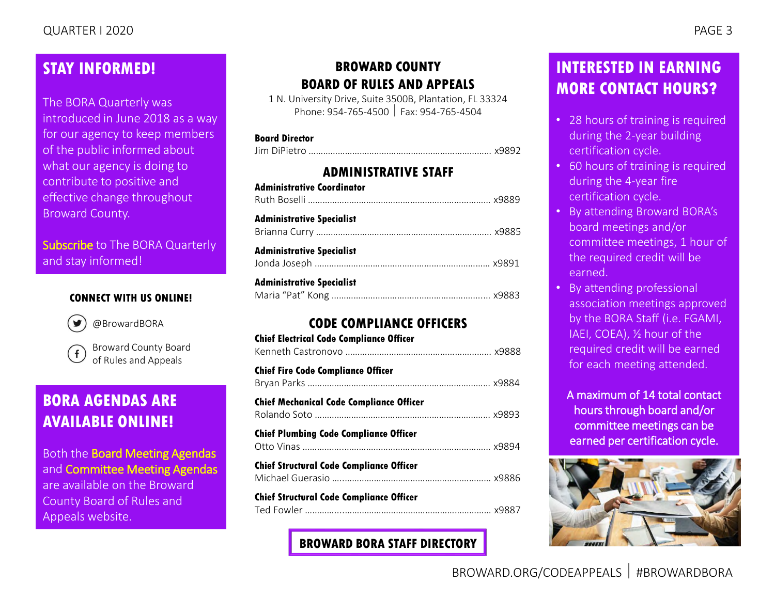### **STAY INFORMED!**

The BORA Quarterly was introduced in June 2018 as a way for our agency to keep members of the public informed about what our agency is doing to contribute to positive and effective change throughout Broward County.

[Subscribe](mailto:rulesboard@broward.org) to The BORA Quarterly and stay informed!

#### **CONNECT WITH US ONLINE!**



[@BrowardBORA](https://twitter.com/BrowardBORA)

[Broward County Board](https://www.facebook.com/BrowardBORA/)   $f$ of Rules and Appeals

### **BORA AGENDAS ARE AVAILABLE ONLINE!**

Both the [Board Meeting Agendas](http://www.broward.org/CodeAppeals/Pages/BoardMeetingAgendas.aspx) and [Committee Meeting Agendas](http://www.broward.org/CodeAppeals/Pages/CommitteeMeetingAgendas.aspx) are available on the Broward County Board of Rules and Appeals website.

### **BROWARD COUNTY BOARD OF RULES AND APPEALS**

1 N. University Drive, Suite 3500B, Plantation, FL 33324 Phone: 954-765-4500 Fax: 954-765-4504

#### **Board Director**

|--|--|

#### **ADMINISTRATIVE STAFF**

| <b>Administrative Coordinator</b> |  |
|-----------------------------------|--|
| <b>Administrative Specialist</b>  |  |
| <b>Administrative Specialist</b>  |  |
| <b>Administrative Specialist</b>  |  |

#### **CODE COMPLIANCE OFFICERS**

| <b>Chief Electrical Code Compliance Officer</b> |  |
|-------------------------------------------------|--|
| <b>Chief Fire Code Compliance Officer</b>       |  |
| <b>Chief Mechanical Code Compliance Officer</b> |  |
| <b>Chief Plumbing Code Compliance Officer</b>   |  |
| <b>Chief Structural Code Compliance Officer</b> |  |
| <b>Chief Structural Code Compliance Officer</b> |  |

**[BROWARD BORA STAFF DIRECTORY](http://www.broward.org/CodeAppeals/Pages/staffContacts.aspx)**

## **INTERESTED IN EARNING MORE CONTACT HOURS?**

- 28 hours of training is required during the 2-year building certification cycle.
- 60 hours of training is required during the 4-year fire certification cycle.
- By attending Broward BORA's board meetings and/or committee meetings, 1 hour of the required credit will be earned.
- By attending professional association meetings approved by the BORA Staff (i.e. FGAMI, IAEI, COEA), ½ hour of the required credit will be earned for each meeting attended.

A maximum of 14 total contact hours through board and/or committee meetings can be earned per certification cycle.

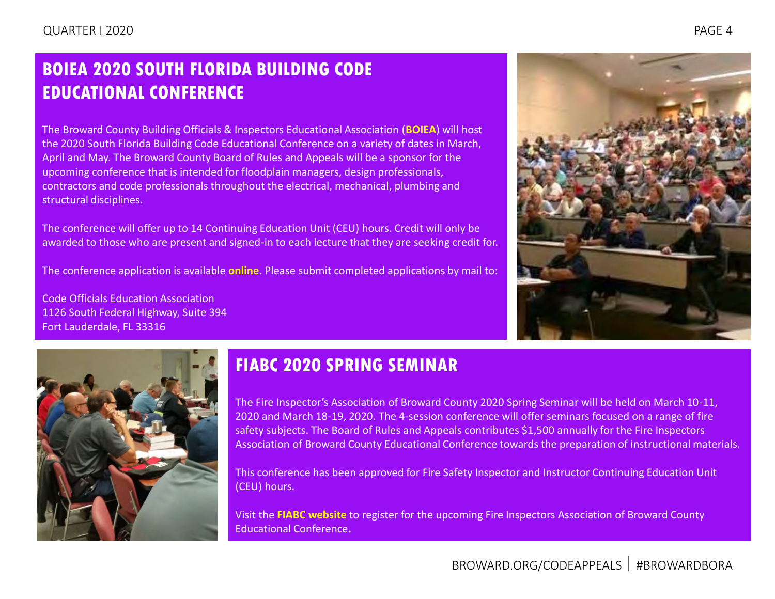## <span id="page-3-0"></span>**BOIEA 2020 SOUTH FLORIDA BUILDING CODE EDUCATIONAL CONFERENCE**

The Broward County Building Officials & Inspectors Educational Association (**[BOIEA](https://www.boiea.com/)**) will host the 2020 South Florida Building Code Educational Conference on a variety of dates in March, April and May. The Broward County Board of Rules and Appeals will be a sponsor for the upcoming conference that is intended for floodplain managers, design professionals, contractors and code professionals throughout the electrical, mechanical, plumbing and structural disciplines.

The conference will offer up to 14 Continuing Education Unit (CEU) hours. Credit will only be awarded to those who are present and signed-in to each lecture that they are seeking credit for.

The conference application is available **[online](https://www.broward.org/CodeAppeals/Documents/2020%20BOIEA%20Conference%20Packet%20(Fillable).pdf)**. Please submit completed applications by mail to:

Code Officials Education Association 1126 South Federal Highway, Suite 394 Fort Lauderdale, FL 33316





## **FIABC 2020 SPRING SEMINAR**

The Fire Inspector's Association of Broward County 2020 Spring Seminar will be held on March 10-11, 2020 and March 18-19, 2020. The 4-session conference will offer seminars focused on a range of fire safety subjects. The Board of Rules and Appeals contributes \$1,500 annually for the Fire Inspectors Association of Broward County Educational Conference towards the preparation of instructional materials.

This conference has been approved for Fire Safety Inspector and Instructor Continuing Education Unit (CEU) hours.

Visit the **[FIABC website](https://fiabc.wildapricot.org/event-3439560)** to register for the upcoming Fire Inspectors Association of Broward County Educational Conference**.**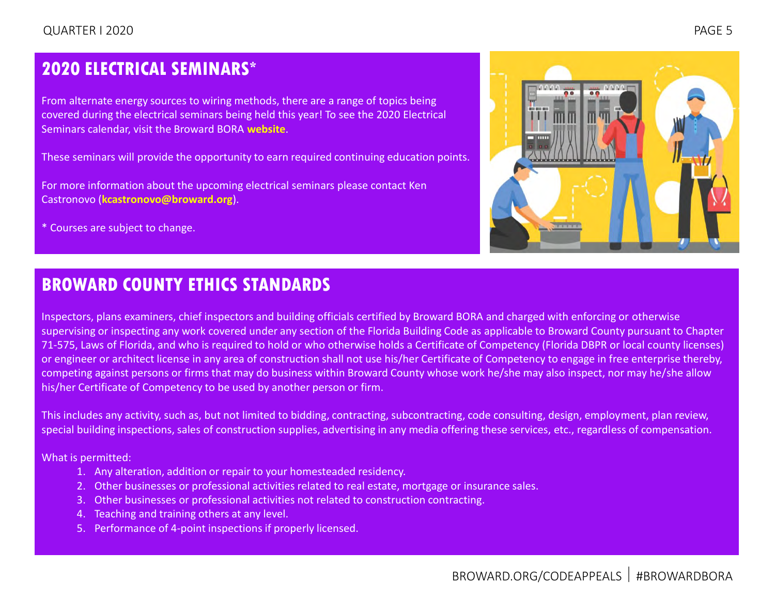## <span id="page-4-0"></span>**2020 ELECTRICAL SEMINARS\***

From alternate energy sources to wiring methods, there are a range of topics being covered during the electrical seminars being held this year! To see the 2020 Electrical Seminars calendar, visit the Broward BORA **[website](https://www.broward.org/CodeAppeals/Documents/2020%20CALENDAR%20OF%20ELECTRICAL%20SEMINARS.pdf)**.

These seminars will provide the opportunity to earn required continuing education points.

For more information about the upcoming electrical seminars please contact Ken Castronovo (**[kcastronovo@broward.org](mailto:kcastronovo@broward.org)**).

\* Courses are subject to change.



## **BROWARD COUNTY ETHICS STANDARDS**

Inspectors, plans examiners, chief inspectors and building officials certified by Broward BORA and charged with enforcing or otherwise supervising or inspecting any work covered under any section of the Florida Building Code as applicable to Broward County pursuant to Chapter 71-575, Laws of Florida, and who is required to hold or who otherwise holds a Certificate of Competency (Florida DBPR or local county licenses) or engineer or architect license in any area of construction shall not use his/her Certificate of Competency to engage in free enterprise thereby, competing against persons or firms that may do business within Broward County whose work he/she may also inspect, nor may he/she allow his/her Certificate of Competency to be used by another person or firm.

This includes any activity, such as, but not limited to bidding, contracting, subcontracting, code consulting, design, employment, plan review, special building inspections, sales of construction supplies, advertising in any media offering these services, etc., regardless of compensation.

What is permitted:

- 1. Any alteration, addition or repair to your homesteaded residency.
- 2. Other businesses or professional activities related to real estate, mortgage or insurance sales.
- 3. Other businesses or professional activities not related to construction contracting.
- 4. Teaching and training others at any level.
- 5. Performance of 4-point inspections if properly licensed.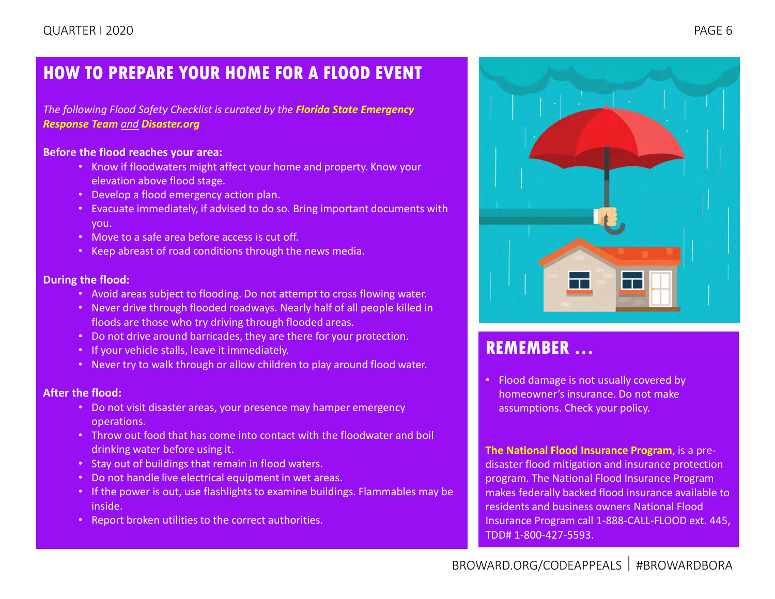## <span id="page-5-0"></span>**HOW TO PREPARE YOUR HOME FOR A FLOOD EVENT**

*The following Flood Safety Checklist is curated by the [Florida State Emergency](https://www.floridadisaster.org/sert/)  [Response Team](https://www.floridadisaster.org/sert/) and [Disaster.org](https://floridadisaster.org/)*

#### **Before the flood reaches your area:**

- Know if floodwaters might affect your home and property. Know your elevation above flood stage.
- Develop a flood emergency action plan.
- Evacuate immediately, if advised to do so. Bring important documents with you.
- Move to a safe area before access is cut off.
- Keep abreast of road conditions through the news media.

#### **During the flood:**

- Avoid areas subject to flooding. Do not attempt to cross flowing water.
- Never drive through flooded roadways. Nearly half of all people killed in floods are those who try driving through flooded areas.
- Do not drive around barricades, they are there for your protection.
- If your vehicle stalls, leave it immediately.
- Never try to walk through or allow children to play around flood water.

#### **After the flood:**

- Do not visit disaster areas, your presence may hamper emergency operations.
- Throw out food that has come into contact with the floodwater and boil drinking water before using it.
- Stay out of buildings that remain in flood waters.
- Do not handle live electrical equipment in wet areas.
- If the power is out, use flashlights to examine buildings. Flammables may be inside.
- Report broken utilities to the correct authorities.



## **REMEMBER …**

• Flood damage is not usually covered by homeowner's insurance. Do not make assumptions. Check your policy.

**The [National Flood Insurance Program](https://www.fema.gov/national-flood-insurance-program)**, is a predisaster flood mitigation and insurance protection program. The National Flood Insurance Program makes federally backed flood insurance available to residents and business owners National Flood Insurance Program call 1-888-CALL-FLOOD ext. 445, TDD# 1-800-427-5593.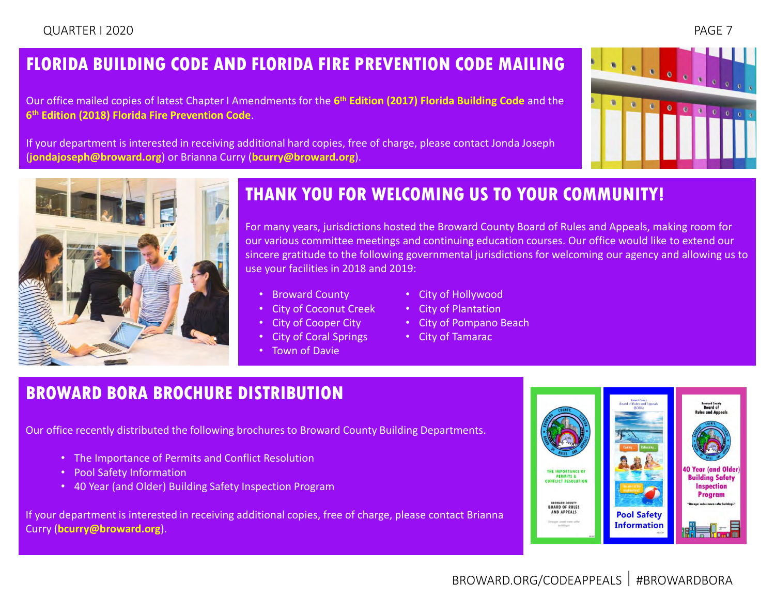## <span id="page-6-0"></span>**FLORIDA BUILDING CODE AND FLORIDA FIRE PREVENTION CODE MAILING**

Our office mailed copies of latest Chapter I Amendments for the **6 th [Edition \(2017\) Florida Building Code](https://www.broward.org/CodeAppeals/Pages/AmendmentsInterpretations.aspx)** and the **6 th [Edition \(2018\) Florida Fire Prevention Code](https://www.broward.org/CodeAppeals/Pages/FloridaFirePrevention.aspx)**.

If your department is interested in receiving additional hard copies, free of charge, please contact Jonda Joseph (**[jondajoseph@broward.org](mailto:jondajoseph@broward.org)**) or Brianna Curry (**[bcurry@broward.org](mailto:bcurry@broward.org)**).





## **THANK YOU FOR WELCOMING US TO YOUR COMMUNITY!**

For many years, jurisdictions hosted the Broward County Board of Rules and Appeals, making room for our various committee meetings and continuing education courses. Our office would like to extend our sincere gratitude to the following governmental jurisdictions for welcoming our agency and allowing us to use your facilities in 2018 and 2019:

- Broward County
- City of Coconut Creek
- City of Cooper City
- City of Coral Springs
- Town of Davie
- City of Hollywood
- City of Plantation
- City of Pompano Beach
- City of Tamarac

## **BROWARD BORA BROCHURE DISTRIBUTION**

Our office recently distributed the following brochures to Broward County Building Departments.

- The Importance of Permits and Conflict Resolution
- Pool Safety Information
- 40 Year (and Older) Building Safety Inspection Program

If your department is interested in receiving additional copies, free of charge, please contact Brianna Curry (**[bcurry@broward.org](mailto:bcurry@broward.org)**).